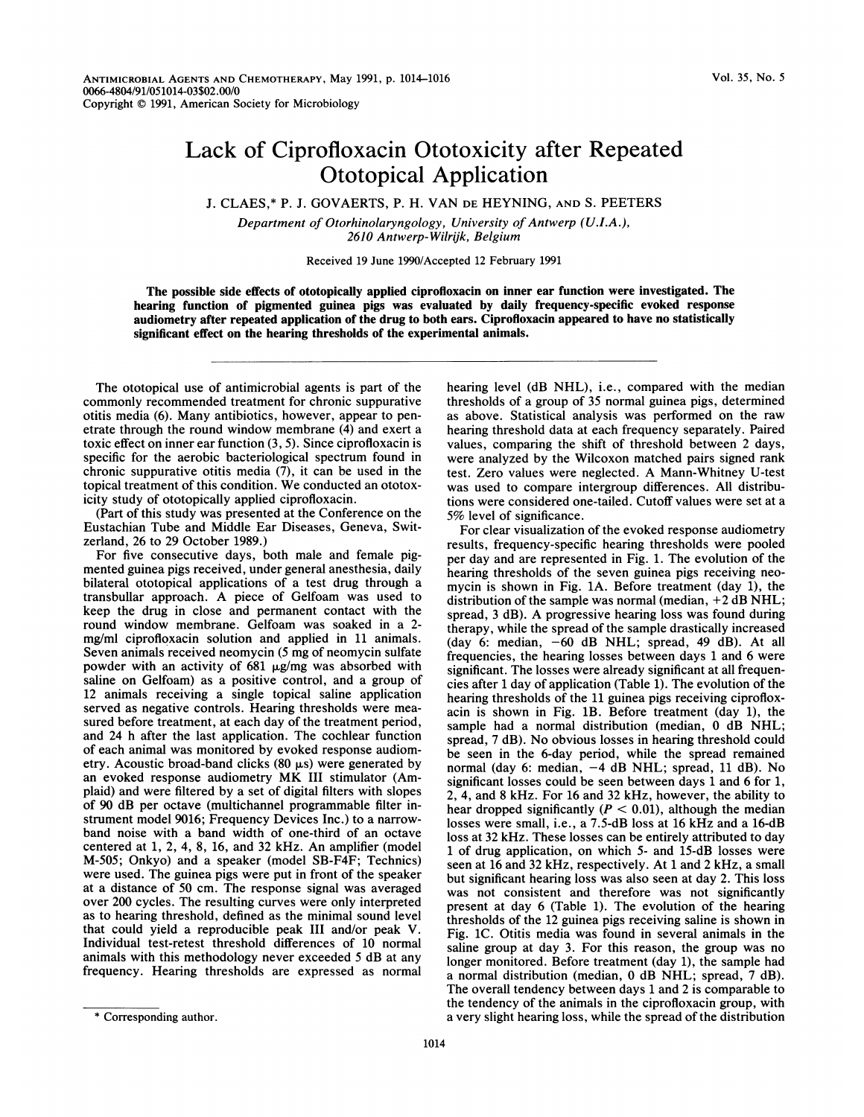## Lack of Ciprofloxacin Ototoxicity after Repeated Ototopical Application

J. CLAES,\* P. J. GOVAERTS, P. H. VAN DE HEYNING, AND S. PEETERS

Department of Otorhinolaryngology, University of Antwerp (U.I.A.), 2610 Antwerp-Wilrijk, Belgium

Received 19 June 1990/Accepted 12 February 1991

The possible side effects of ototopically applied ciprofloxacin on inner ear function were investigated. The hearing function of pigmented guinea pigs was evaluated by daily frequency-specific evoked response audiometry after repeated application of the drug to both ears. Ciprofloxacin appeared to have no statistically significant effect on the hearing thresholds of the experimental animals.

The ototopical use of antimicrobial agents is part of the commonly recommended treatment for chronic suppurative otitis media (6). Many antibiotics, however, appear to penetrate through the round window membrane (4) and exert a toxic effect on inner ear function (3, 5). Since ciprofloxacin is specific for the aerobic bacteriological spectrum found in chronic suppurative otitis media (7), it can be used in the topical treatment of this condition. We conducted an ototoxicity study of ototopically applied ciprofloxacin.

(Part of this study was presented at the Conference on the Eustachian Tube and Middle Ear Diseases, Geneva, Switzerland, 26 to 29 October 1989.)

For five consecutive days, both male and female pigmented guinea pigs received, under general anesthesia, daily bilateral ototopical applications of a test drug through a transbullar approach. A piece of Gelfoam was used to keep the drug in close and permanent contact with the round window membrane. Gelfoam was soaked in a 2 mg/ml ciprofloxacin solution and applied in 11 animals. Seven animals received neomycin (5 mg of neomycin sulfate powder with an activity of  $681 \mu g/mg$  was absorbed with saline on Gelfoam) as a positive control, and a group of 12 animals receiving a single topical saline application served as negative controls. Hearing thresholds were measured before treatment, at each day of the treatment period, and 24 h after the last application. The cochlear function of each animal was monitored by evoked response audiometry. Acoustic broad-band clicks  $(80 \mu s)$  were generated by an evoked response audiometry MK III stimulator (Amplaid) and were filtered by a set of digital filters with slopes of 90 dB per octave (multichannel programmable filter instrument model 9016; Frequency Devices Inc.) to a narrowband noise with a band width of one-third of an octave centered at 1, 2, 4, 8, 16, and 32 kHz. An amplifier (model M-505; Onkyo) and a speaker (model SB-F4F; Technics) were used. The guinea pigs were put in front of the speaker at a distance of 50 cm. The response signal was averaged over 200 cycles. The resulting curves were only interpreted as to hearing threshold, defined as the minimal sound level that could yield a reproducible peak III and/or peak V. Individual test-retest threshold differences of 10 normal animals with this methodology never exceeded <sup>5</sup> dB at any frequency. Hearing thresholds are expressed as normal

For clear visualization of the evoked response audiometry results, frequency-specific hearing thresholds were pooled per day and are represented in Fig. 1. The evolution of the hearing thresholds of the seven guinea pigs receiving neomycin is shown in Fig. 1A. Before treatment (day 1), the distribution of the sample was normal (median,  $+2$  dB NHL; spread, <sup>3</sup> dB). A progressive hearing loss was found during therapy, while the spread of the sample drastically increased (day 6: median, -60 dB NHL; spread, 49 dB). At all frequencies, the hearing losses between days <sup>1</sup> and 6 were significant. The losses were already significant at all frequencies after <sup>1</sup> day of application (Table 1). The evolution of the hearing thresholds of the 11 guinea pigs receiving ciprofloxacin is shown in Fig. 1B. Before treatment (day 1), the sample had a normal distribution (median, 0 dB NHL; spread, <sup>7</sup> dB). No obvious losses in hearing threshold could be seen in the 6-day period, while the spread remained normal (day 6: median, -4 dB NHL; spread, 11 dB). No significant losses could be seen between days 1 and 6 for 1, 2, 4, and 8 kHz. For 16 and 32 kHz, however, the ability to hear dropped significantly ( $P < 0.01$ ), although the median losses were small, i.e., a 7.5-dB loss at 16 kHz and a 16-dB loss at 32 kHz. These losses can be entirely attributed to day <sup>1</sup> of drug application, on which 5- and 15-dB losses were seen at 16 and 32 kHz, respectively. At <sup>1</sup> and 2 kHz, a small but significant hearing loss was also seen at day 2. This loss was not consistent and therefore was not significantly present at day 6 (Table 1). The evolution of the hearing thresholds of the 12 guinea pigs receiving saline is shown in Fig. 1C. Otitis media was found in several animals in the saline group at day 3. For this reason, the group was no longer monitored. Before treatment (day 1), the sample had a normal distribution (median, 0 dB NHL; spread, <sup>7</sup> dB). The overall tendency between days <sup>1</sup> and 2 is comparable to the tendency of the animals in the ciprofloxacin group, with a very slight hearing loss, while the spread of the distribution

hearing level (dB NHL), i.e., compared with the median thresholds of a group of 35 normal guinea pigs, determined as above. Statistical analysis was performed on the raw hearing threshold data at each frequency separately. Paired values, comparing the shift of threshold between 2 days, were analyzed by the Wilcoxon matched pairs signed rank test. Zero values were neglected. A Mann-Whitney U-test was used to compare intergroup differences. All distributions were considered one-tailed. Cutoff values were set at a 5% level of significance.

<sup>\*</sup> Corresponding author.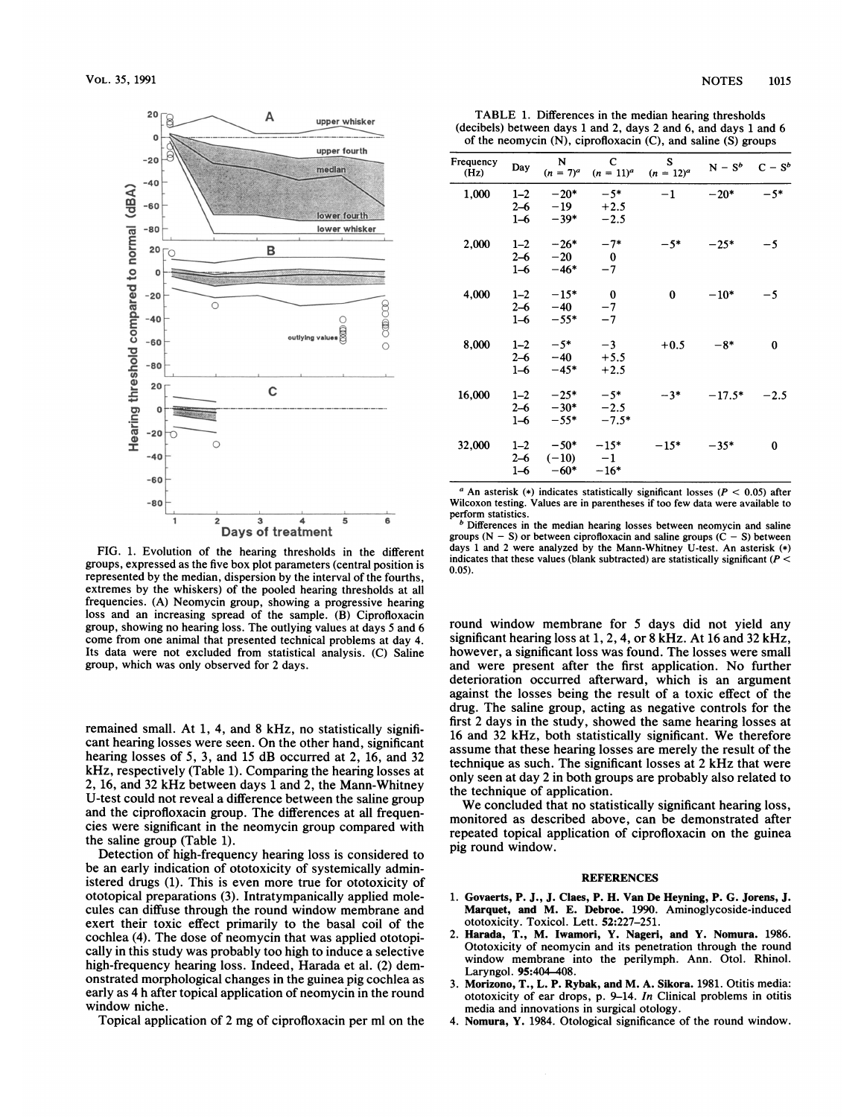

FIG. 1. Evolution of the hearing thresholds in the different groups, expressed as the five box plot parameters (central position is represented by the median, dispersion by the interval of the fourths, extremes by the whiskers) of the pooled hearing thresholds at all frequencies. (A) Neomycin group, showing a progressive hearing loss and an increasing spread of the sample. (B) Ciprofloxacin group, showing no hearing loss. The outlying values at days 5 and 6 come from one animal that presented technical problems at day 4. Its data were not excluded from statistical analysis. (C) Saline group, which was only observed for 2 days.

remained small. At 1, 4, and 8 kHz, no statistically significant hearing losses were seen. On the other hand, significant hearing losses of 5, 3, and 15 dB occurred at 2, 16, and 32 kHz, respectively (Table 1). Comparing the hearing losses at 2, 16, and 32 kHz between days <sup>1</sup> and 2, the Mann-Whitney U-test could not reveal a difference between the saline group and the ciprofloxacin group. The differences at all frequencies were significant in the neomycin group compared with the saline group (Table 1).

Detection of high-frequency hearing loss is considered to be an early indication of ototoxicity of systemically administered drugs (1). This is even more true for ototoxicity of ototopical preparations (3). Intratympanically applied molecules can diffuse through the round window membrane and exert their toxic effect primarily to the basal coil of the cochlea (4). The dose of neomycin that was applied ototopically in this study was probably too high to induce a selective high-frequency hearing loss. Indeed, Harada et al. (2) demonstrated morphological changes in the guinea pig cochlea as early as 4 h after topical application of neomycin in the round window niche.

Topical application of <sup>2</sup> mg of ciprofloxacin per ml on the

TABLE 1. Differences in the median hearing thresholds (decibels) between days <sup>1</sup> and 2, days 2 and 6, and days <sup>1</sup> and 6

| of the neomycin $(N)$ , ciprofloxacin $(C)$ , and saline $(S)$ groups |                               |                             |                               |                     |           |         |
|-----------------------------------------------------------------------|-------------------------------|-----------------------------|-------------------------------|---------------------|-----------|---------|
| Frequency<br>(Hz)                                                     | Day                           | N<br>$(n = 7)^{a}$          | $\mathbf C$<br>$(n = 11)^{a}$ | S<br>$(n = 12)^{a}$ | $N - S^b$ | $C-S^b$ |
| 1,000                                                                 | $1 - 2$<br>$2 - 6$<br>$1 - 6$ | $-20*$<br>$-19$<br>$-39*$   | $-5*$<br>$+2.5$<br>$-2.5$     | $^{-1}$             | $-20*$    | $-5*$   |
| 2,000                                                                 | $1 - 2$<br>$2 - 6$<br>$1 - 6$ | $-26*$<br>$-20$<br>$-46*$   | $-7*$<br>$\bf{0}$<br>$-7$     | $-5*$               | $-25*$    | $-5$    |
| 4,000                                                                 | $1 - 2$<br>$2 - 6$<br>$1 - 6$ | $-15*$<br>$-40$<br>$-55*$   | $\bf{0}$<br>$-7$<br>$-7$      | 0                   | $-10*$    | $-5$    |
| 8,000                                                                 | $1 - 2$<br>$2 - 6$<br>$1 - 6$ | $-5*$<br>$-40$<br>$-45*$    | $-3$<br>$+5.5$<br>$+2.5$      | $+0.5$              | $-8*$     | 0       |
| 16,000                                                                | $1 - 2$<br>$2 - 6$<br>1–6     | $-25*$<br>$-30*$<br>$-55*$  | $-5*$<br>$-2.5$<br>$-7.5*$    | $-3*$               | $-17.5*$  | $-2.5$  |
| 32,000                                                                | $1 - 2$<br>$2 - 6$<br>$1 - 6$ | $-50*$<br>$(-10)$<br>$-60*$ | $-15*$<br>$-1$<br>$-16*$      | $-15*$              | $-35*$    | 0       |

<sup>a</sup> An asterisk (\*) indicates statistically significant losses ( $P < 0.05$ ) after Wilcoxon testing. Values are in parentheses if too few data were available to perform statistics.

 $<sup>b</sup>$  Differences in the median hearing losses between neomycin and saline</sup> groups  $(N - S)$  or between ciprofloxacin and saline groups  $(C - S)$  between days <sup>1</sup> and <sup>2</sup> were analyzed by the Mann-Whitney U-test. An asterisk (\*) indicates that these values (blank subtracted) are statistically significant ( $P <$ 0.05).

round window membrane for 5 days did not yield any significant hearing loss at 1, 2, 4, or 8 kHz. At 16 and 32 kHz, however, a significant loss was found. The losses were small and were present after the first application. No further deterioration occurred afterward, which is an argument against the losses being the result of a toxic effect of the drug. The saline group, acting as negative controls for the first 2 days in the study, showed the same hearing losses at <sup>16</sup> and <sup>32</sup> kHz, both statistically significant. We therefore assume that these hearing losses are merely the result of the technique as such. The significant losses at 2 kHz that were only seen at day 2 in both groups are probably also related to the technique of application.

We concluded that no statistically significant hearing loss, monitored as described above, can be demonstrated after repeated topical application of ciprofloxacin on the guinea pig round window.

## **REFERENCES**

- 1. Govaerts, P. J., J. Claes, P. H. Van De Heyning, P. G. Jorens, J. Marquet, and M. E. Debroe. 1990. Aminoglycoside-induced ototoxicity. Toxicol. Lett. 52:227-251.
- 2. Harada, T., M. Iwamori, Y. Nageri, and Y. Nomura. 1986. Ototoxicity of neomycin and its penetration through the round window membrane into the perilymph. Ann. Otol. Rhinol. Laryngol. 95:404-408.
- 3. Morizono, T., L. P. Rybak, and M. A. Sikora. 1981. Otitis media: ototoxicity of ear drops, p. 9-14. In Clinical problems in otitis media and innovations in surgical otology.
- 4. Nomura, Y. 1984. Otological significance of the round window.